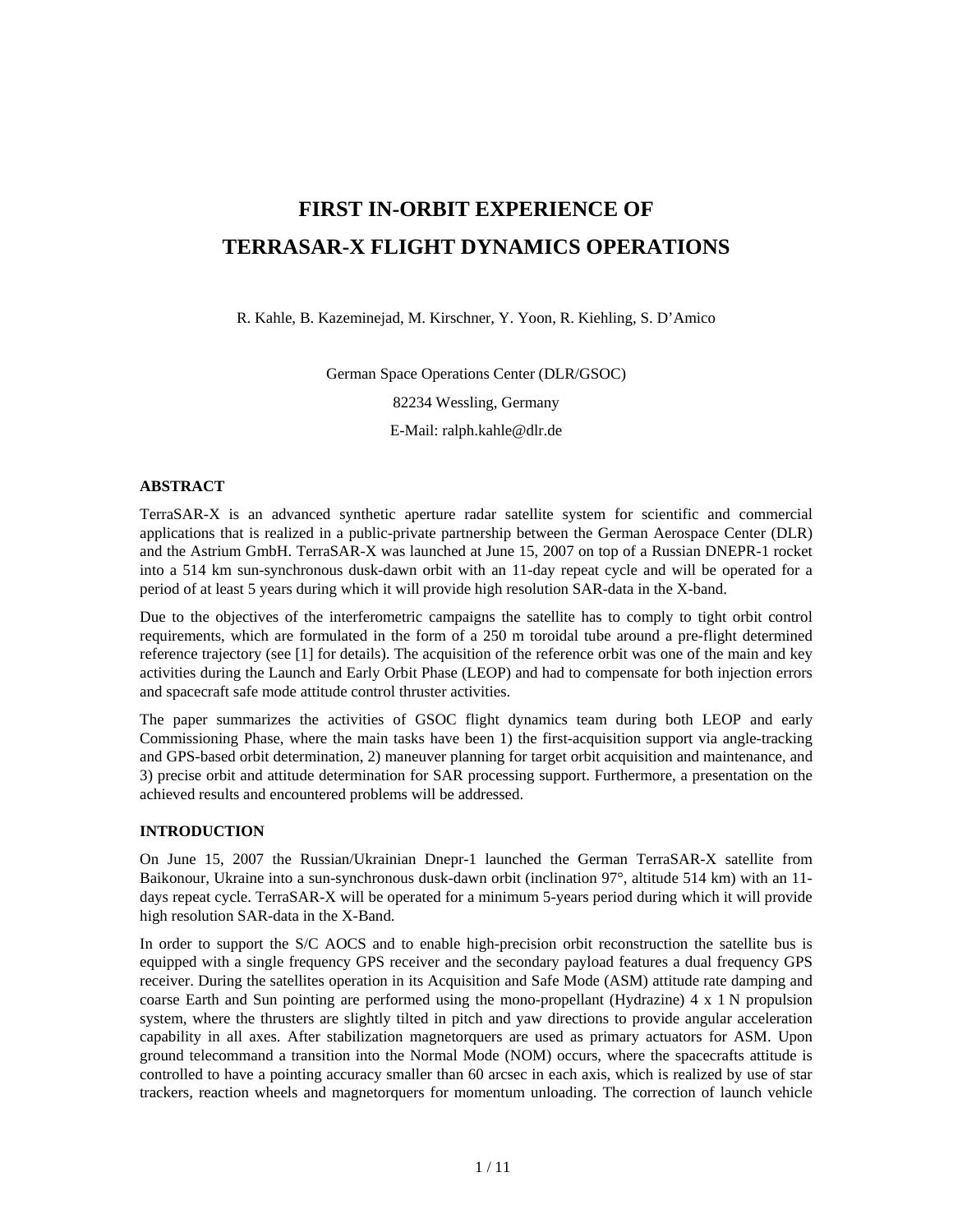# **FIRST IN-ORBIT EXPERIENCE OF TERRASAR-X FLIGHT DYNAMICS OPERATIONS**

R. Kahle, B. Kazeminejad, M. Kirschner, Y. Yoon, R. Kiehling, S. D'Amico

German Space Operations Center (DLR/GSOC) 82234 Wessling, Germany

E-Mail: ralph.kahle@dlr.de

#### **ABSTRACT**

TerraSAR-X is an advanced synthetic aperture radar satellite system for scientific and commercial applications that is realized in a public-private partnership between the German Aerospace Center (DLR) and the Astrium GmbH. TerraSAR-X was launched at June 15, 2007 on top of a Russian DNEPR-1 rocket into a 514 km sun-synchronous dusk-dawn orbit with an 11-day repeat cycle and will be operated for a period of at least 5 years during which it will provide high resolution SAR-data in the X-band.

Due to the objectives of the interferometric campaigns the satellite has to comply to tight orbit control requirements, which are formulated in the form of a 250 m toroidal tube around a pre-flight determined reference trajectory (see [1] for details). The acquisition of the reference orbit was one of the main and key activities during the Launch and Early Orbit Phase (LEOP) and had to compensate for both injection errors and spacecraft safe mode attitude control thruster activities.

The paper summarizes the activities of GSOC flight dynamics team during both LEOP and early Commissioning Phase, where the main tasks have been 1) the first-acquisition support via angle-tracking and GPS-based orbit determination, 2) maneuver planning for target orbit acquisition and maintenance, and 3) precise orbit and attitude determination for SAR processing support. Furthermore, a presentation on the achieved results and encountered problems will be addressed.

#### **INTRODUCTION**

On June 15, 2007 the Russian/Ukrainian Dnepr-1 launched the German TerraSAR-X satellite from Baikonour, Ukraine into a sun-synchronous dusk-dawn orbit (inclination 97°, altitude 514 km) with an 11 days repeat cycle. TerraSAR-X will be operated for a minimum 5-years period during which it will provide high resolution SAR-data in the X-Band.

In order to support the S/C AOCS and to enable high-precision orbit reconstruction the satellite bus is equipped with a single frequency GPS receiver and the secondary payload features a dual frequency GPS receiver. During the satellites operation in its Acquisition and Safe Mode (ASM) attitude rate damping and coarse Earth and Sun pointing are performed using the mono-propellant (Hydrazine) 4 x 1 N propulsion system, where the thrusters are slightly tilted in pitch and yaw directions to provide angular acceleration capability in all axes. After stabilization magnetorquers are used as primary actuators for ASM. Upon ground telecommand a transition into the Normal Mode (NOM) occurs, where the spacecrafts attitude is controlled to have a pointing accuracy smaller than 60 arcsec in each axis, which is realized by use of star trackers, reaction wheels and magnetorquers for momentum unloading. The correction of launch vehicle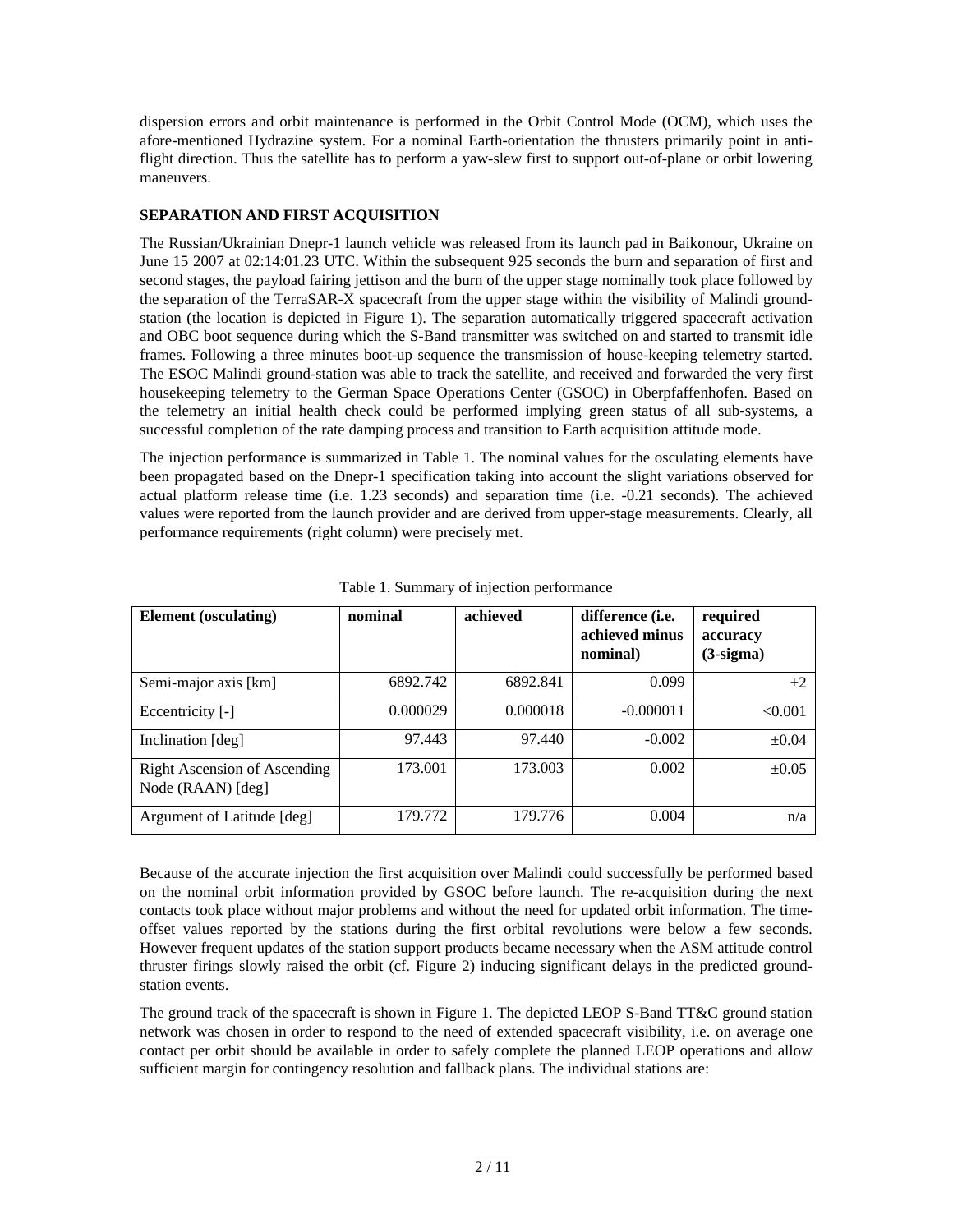dispersion errors and orbit maintenance is performed in the Orbit Control Mode (OCM), which uses the afore-mentioned Hydrazine system. For a nominal Earth-orientation the thrusters primarily point in antiflight direction. Thus the satellite has to perform a yaw-slew first to support out-of-plane or orbit lowering maneuvers.

## **SEPARATION AND FIRST ACQUISITION**

The Russian/Ukrainian Dnepr-1 launch vehicle was released from its launch pad in Baikonour, Ukraine on June 15 2007 at 02:14:01.23 UTC. Within the subsequent 925 seconds the burn and separation of first and second stages, the payload fairing jettison and the burn of the upper stage nominally took place followed by the separation of the TerraSAR-X spacecraft from the upper stage within the visibility of Malindi groundstation (the location is depicted in Figure 1). The separation automatically triggered spacecraft activation and OBC boot sequence during which the S-Band transmitter was switched on and started to transmit idle frames. Following a three minutes boot-up sequence the transmission of house-keeping telemetry started. The ESOC Malindi ground-station was able to track the satellite, and received and forwarded the very first housekeeping telemetry to the German Space Operations Center (GSOC) in Oberpfaffenhofen. Based on the telemetry an initial health check could be performed implying green status of all sub-systems, a successful completion of the rate damping process and transition to Earth acquisition attitude mode.

The injection performance is summarized in Table 1. The nominal values for the osculating elements have been propagated based on the Dnepr-1 specification taking into account the slight variations observed for actual platform release time (i.e. 1.23 seconds) and separation time (i.e. -0.21 seconds). The achieved values were reported from the launch provider and are derived from upper-stage measurements. Clearly, all performance requirements (right column) were precisely met.

| <b>Element</b> (osculating)                              | nominal  | achieved | difference (i.e.<br>achieved minus<br>nominal) | required<br>accuracy<br>$(3-sigma)$ |
|----------------------------------------------------------|----------|----------|------------------------------------------------|-------------------------------------|
| Semi-major axis [km]                                     | 6892.742 | 6892.841 | 0.099                                          | $+2$                                |
| Eccentricity [-]                                         | 0.000029 | 0.000018 | $-0.000011$                                    | < 0.001                             |
| Inclination [deg]                                        | 97.443   | 97.440   | $-0.002$                                       | $\pm 0.04$                          |
| <b>Right Ascension of Ascending</b><br>Node (RAAN) [deg] | 173.001  | 173.003  | 0.002                                          | $\pm 0.05$                          |
| Argument of Latitude [deg]                               | 179.772  | 179.776  | 0.004                                          | n/a                                 |

Table 1. Summary of injection performance

Because of the accurate injection the first acquisition over Malindi could successfully be performed based on the nominal orbit information provided by GSOC before launch. The re-acquisition during the next contacts took place without major problems and without the need for updated orbit information. The timeoffset values reported by the stations during the first orbital revolutions were below a few seconds. However frequent updates of the station support products became necessary when the ASM attitude control thruster firings slowly raised the orbit (cf. Figure 2) inducing significant delays in the predicted groundstation events.

The ground track of the spacecraft is shown in Figure 1. The depicted LEOP S-Band TT&C ground station network was chosen in order to respond to the need of extended spacecraft visibility, i.e. on average one contact per orbit should be available in order to safely complete the planned LEOP operations and allow sufficient margin for contingency resolution and fallback plans. The individual stations are: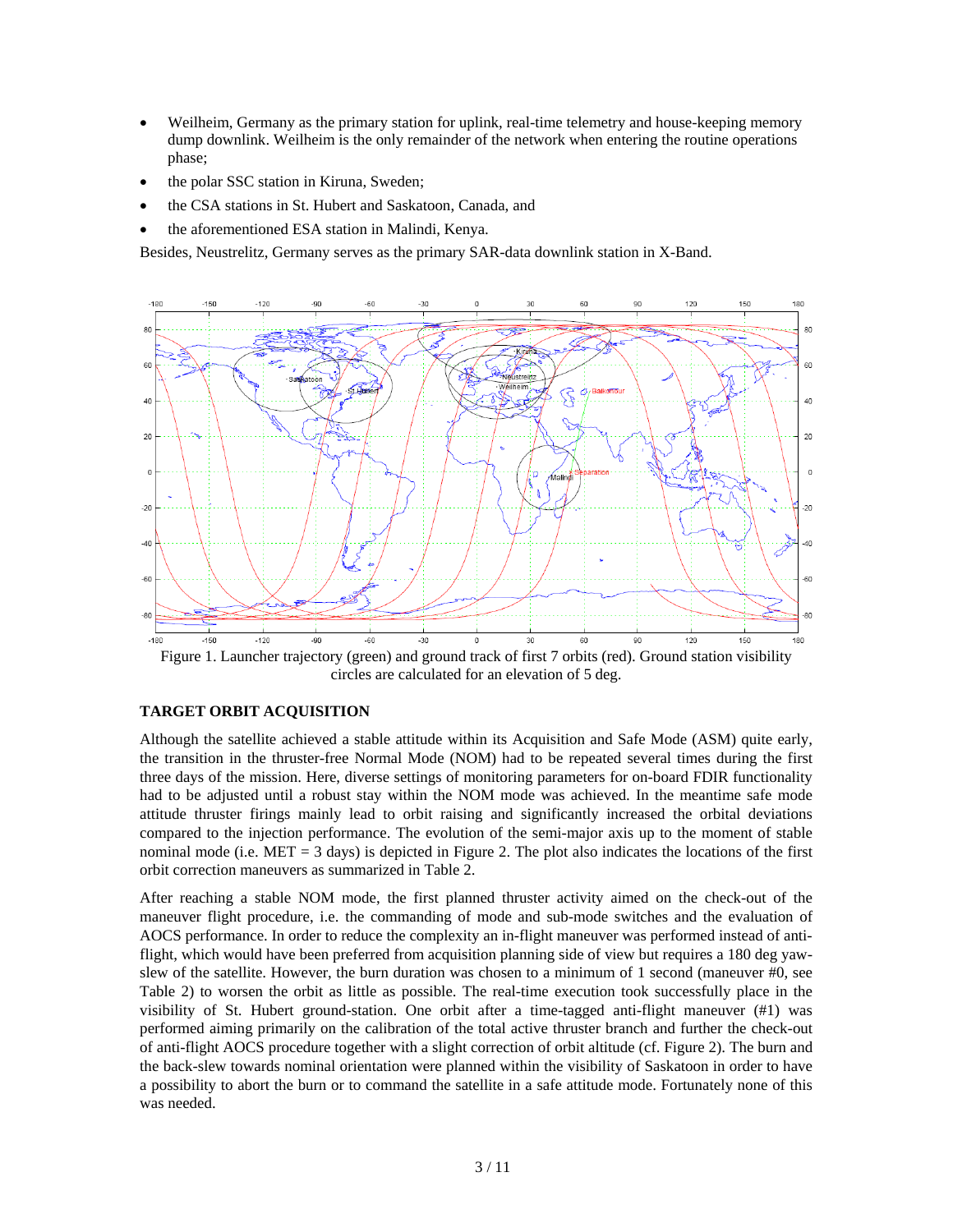- Weilheim, Germany as the primary station for uplink, real-time telemetry and house-keeping memory dump downlink. Weilheim is the only remainder of the network when entering the routine operations phase;
- the polar SSC station in Kiruna, Sweden;
- the CSA stations in St. Hubert and Saskatoon, Canada, and
- the aforementioned ESA station in Malindi, Kenya.

Besides, Neustrelitz, Germany serves as the primary SAR-data downlink station in X-Band.



Figure 1. Launcher trajectory (green) and ground track of first 7 orbits (red). Ground station visibility circles are calculated for an elevation of 5 deg.

#### **TARGET ORBIT ACQUISITION**

Although the satellite achieved a stable attitude within its Acquisition and Safe Mode (ASM) quite early, the transition in the thruster-free Normal Mode (NOM) had to be repeated several times during the first three days of the mission. Here, diverse settings of monitoring parameters for on-board FDIR functionality had to be adjusted until a robust stay within the NOM mode was achieved. In the meantime safe mode attitude thruster firings mainly lead to orbit raising and significantly increased the orbital deviations compared to the injection performance. The evolution of the semi-major axis up to the moment of stable nominal mode (i.e.  $MET = 3$  days) is depicted in Figure 2. The plot also indicates the locations of the first orbit correction maneuvers as summarized in Table 2.

After reaching a stable NOM mode, the first planned thruster activity aimed on the check-out of the maneuver flight procedure, i.e. the commanding of mode and sub-mode switches and the evaluation of AOCS performance. In order to reduce the complexity an in-flight maneuver was performed instead of antiflight, which would have been preferred from acquisition planning side of view but requires a 180 deg yawslew of the satellite. However, the burn duration was chosen to a minimum of 1 second (maneuver #0, see Table 2) to worsen the orbit as little as possible. The real-time execution took successfully place in the visibility of St. Hubert ground-station. One orbit after a time-tagged anti-flight maneuver (#1) was performed aiming primarily on the calibration of the total active thruster branch and further the check-out of anti-flight AOCS procedure together with a slight correction of orbit altitude (cf. Figure 2). The burn and the back-slew towards nominal orientation were planned within the visibility of Saskatoon in order to have a possibility to abort the burn or to command the satellite in a safe attitude mode. Fortunately none of this was needed.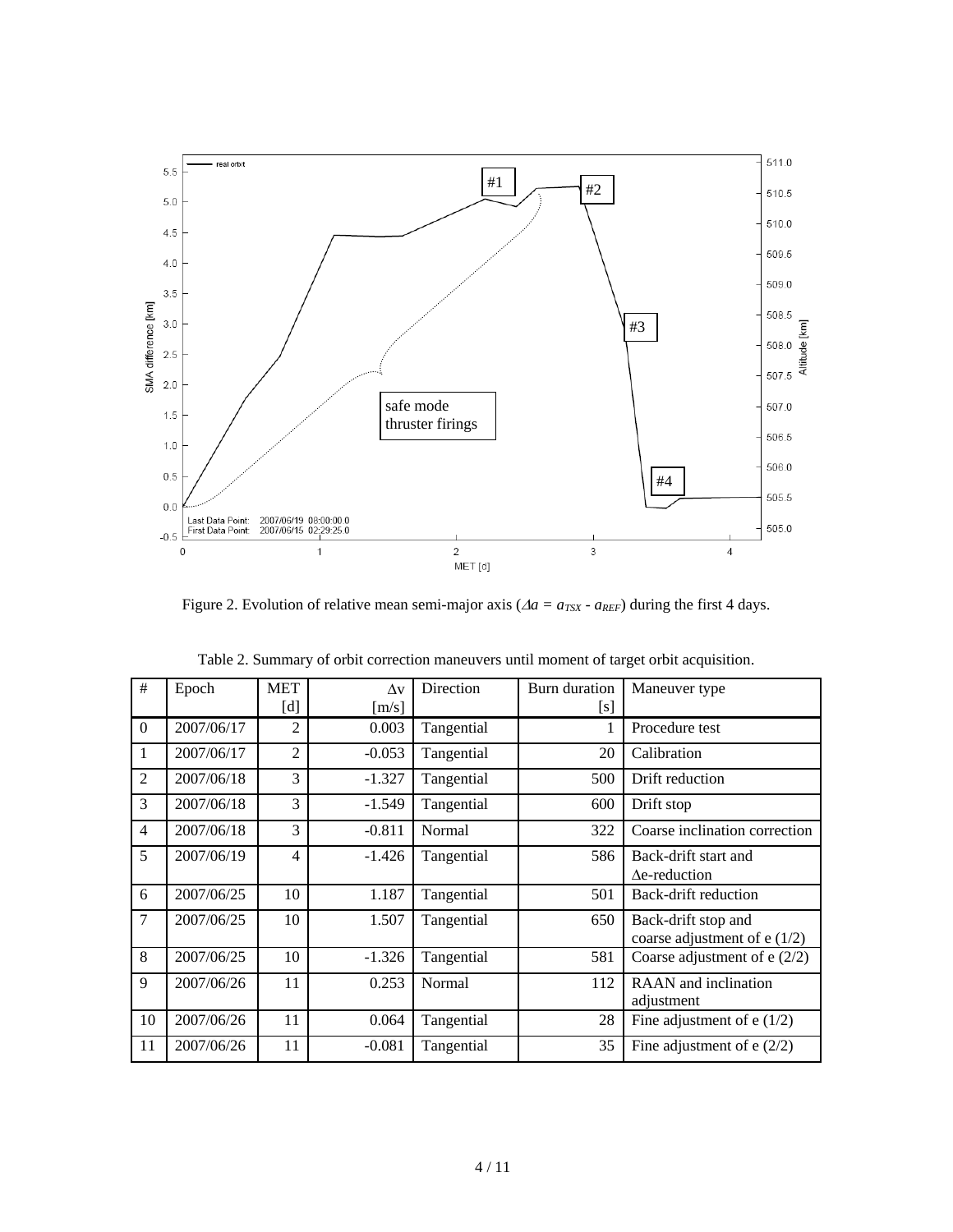

Figure 2. Evolution of relative mean semi-major axis ( $\Delta a = a_{TSX} - a_{REF}$ ) during the first 4 days.

| #              | Epoch      | <b>MET</b>     | $\Lambda v$ | Direction  | Burn duration | Maneuver type                 |  |
|----------------|------------|----------------|-------------|------------|---------------|-------------------------------|--|
|                |            | [d]            | [m/s]       |            | [s]           |                               |  |
| $\Omega$       | 2007/06/17 | $\overline{2}$ | 0.003       | Tangential |               | Procedure test                |  |
| 1              | 2007/06/17 | $\overline{2}$ | $-0.053$    | Tangential | 20            | Calibration                   |  |
| $\overline{2}$ | 2007/06/18 | 3              | $-1.327$    | Tangential | 500           | Drift reduction               |  |
| 3              | 2007/06/18 | 3              | $-1.549$    | Tangential | 600           | Drift stop                    |  |
| $\overline{4}$ | 2007/06/18 | 3              | $-0.811$    | Normal     | 322           | Coarse inclination correction |  |
| 5              | 2007/06/19 | $\overline{4}$ | $-1.426$    | Tangential | 586           | Back-drift start and          |  |
|                |            |                |             |            |               | $\Delta$ e-reduction          |  |
| 6              | 2007/06/25 | 10             | 1.187       | Tangential | 501           | Back-drift reduction          |  |
| 7              | 2007/06/25 | 10             | 1.507       | Tangential | 650           | Back-drift stop and           |  |
|                |            |                |             |            |               | coarse adjustment of $e(1/2)$ |  |
| 8              | 2007/06/25 | 10             | $-1.326$    | Tangential | 581           | Coarse adjustment of $e(2/2)$ |  |
| 9              | 2007/06/26 | 11             | 0.253       | Normal     | 112           | RAAN and inclination          |  |
|                |            |                |             |            |               | adjustment                    |  |
| 10             | 2007/06/26 | 11             | 0.064       | Tangential | 28            | Fine adjustment of $e(1/2)$   |  |
| 11             | 2007/06/26 | 11             | $-0.081$    | Tangential | 35            | Fine adjustment of $e(2/2)$   |  |

| Table 2. Summary of orbit correction maneuvers until moment of target orbit acquisition. |  |  |  |  |
|------------------------------------------------------------------------------------------|--|--|--|--|
|                                                                                          |  |  |  |  |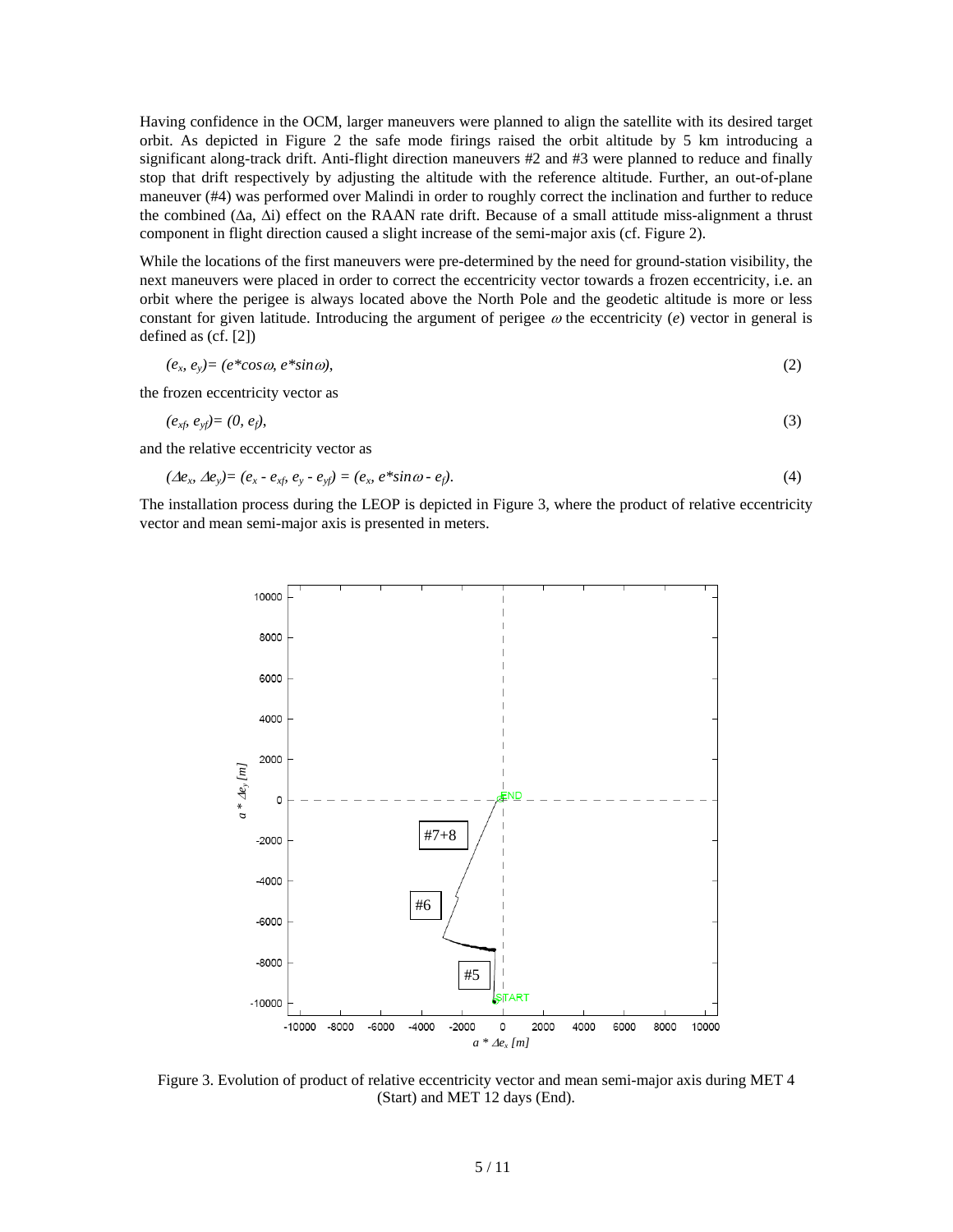Having confidence in the OCM, larger maneuvers were planned to align the satellite with its desired target orbit. As depicted in Figure 2 the safe mode firings raised the orbit altitude by 5 km introducing a significant along-track drift. Anti-flight direction maneuvers #2 and #3 were planned to reduce and finally stop that drift respectively by adjusting the altitude with the reference altitude. Further, an out-of-plane maneuver (#4) was performed over Malindi in order to roughly correct the inclination and further to reduce the combined (Δa, Δi) effect on the RAAN rate drift. Because of a small attitude miss-alignment a thrust component in flight direction caused a slight increase of the semi-major axis (cf. Figure 2).

While the locations of the first maneuvers were pre-determined by the need for ground-station visibility, the next maneuvers were placed in order to correct the eccentricity vector towards a frozen eccentricity, i.e. an orbit where the perigee is always located above the North Pole and the geodetic altitude is more or less constant for given latitude. Introducing the argument of perigee <sup>ω</sup> the eccentricity (*e*) vector in general is defined as (cf. [2])

$$
(e_x \, e_y) = (e^* \cos \omega, \, e^* \sin \omega), \tag{2}
$$

the frozen eccentricity vector as

$$
(e_{xf}e_{yf})=(0,e_f),\t\t(3)
$$

and the relative eccentricity vector as

$$
(\Delta e_x \ \Delta e_y) = (e_x - e_{xf} \ e_y - e_{yf}) = (e_x \ e^* \sin \omega - e_f). \tag{4}
$$

The installation process during the LEOP is depicted in Figure 3, where the product of relative eccentricity vector and mean semi-major axis is presented in meters.



Figure 3. Evolution of product of relative eccentricity vector and mean semi-major axis during MET 4 (Start) and MET 12 days (End).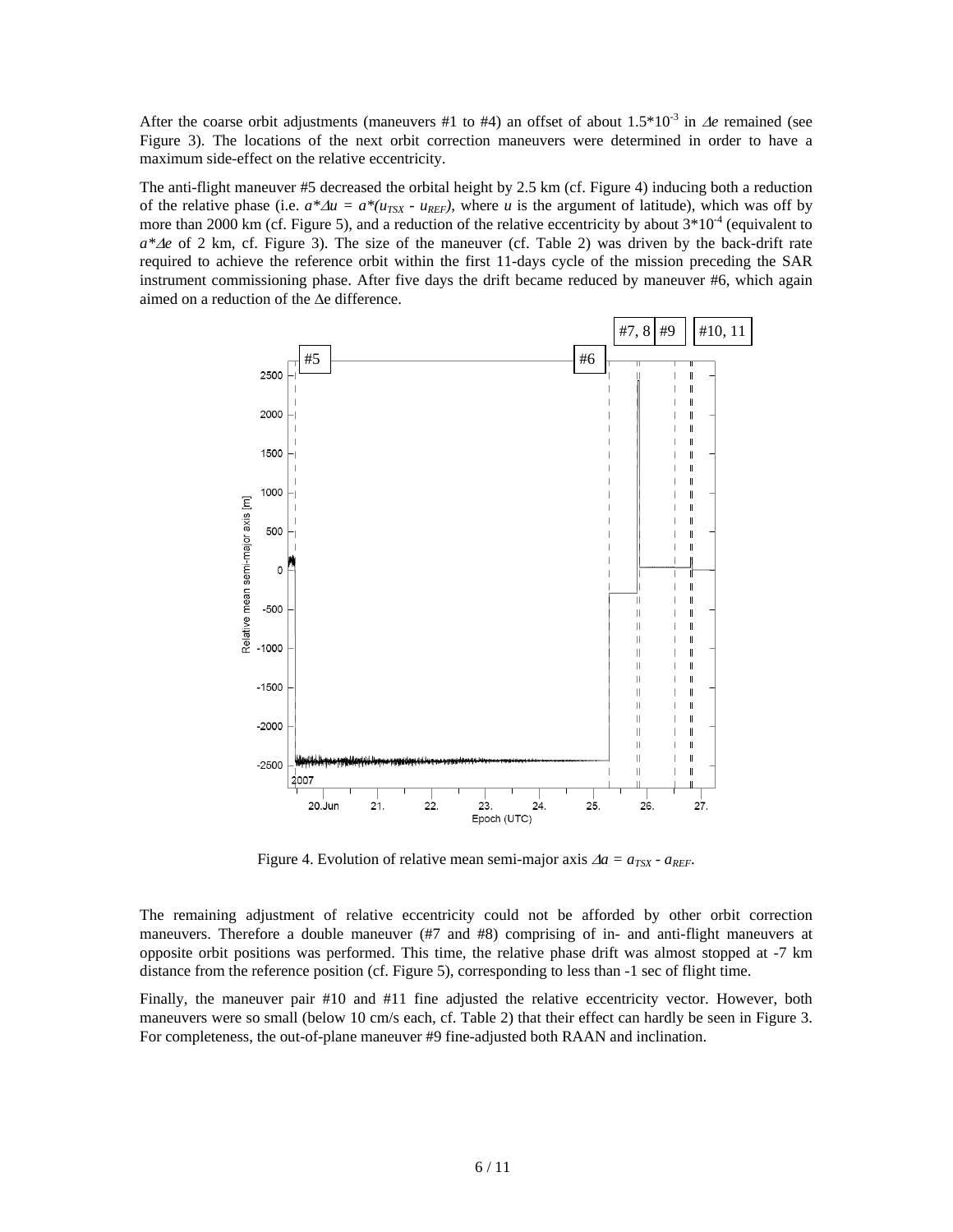After the coarse orbit adjustments (maneuvers #1 to #4) an offset of about  $1.5*10<sup>-3</sup>$  in  $\Delta e$  remained (see Figure 3). The locations of the next orbit correction maneuvers were determined in order to have a maximum side-effect on the relative eccentricity.

The anti-flight maneuver #5 decreased the orbital height by 2.5 km (cf. Figure 4) inducing both a reduction of the relative phase (i.e.  $a^* \Delta u = a^*(u_{TSX} - u_{REF})$ , where *u* is the argument of latitude), which was off by more than 2000 km (cf. Figure 5), and a reduction of the relative eccentricity by about  $3*10^{-4}$  (equivalent to *a\**Δ*e* of 2 km, cf. Figure 3). The size of the maneuver (cf. Table 2) was driven by the back-drift rate required to achieve the reference orbit within the first 11-days cycle of the mission preceding the SAR instrument commissioning phase. After five days the drift became reduced by maneuver #6, which again aimed on a reduction of the Δe difference.



Figure 4. Evolution of relative mean semi-major axis  $\Delta a = a_{TSX} \cdot a_{REF}$ .

The remaining adjustment of relative eccentricity could not be afforded by other orbit correction maneuvers. Therefore a double maneuver (#7 and #8) comprising of in- and anti-flight maneuvers at opposite orbit positions was performed. This time, the relative phase drift was almost stopped at -7 km distance from the reference position (cf. Figure 5), corresponding to less than -1 sec of flight time.

Finally, the maneuver pair #10 and #11 fine adjusted the relative eccentricity vector. However, both maneuvers were so small (below 10 cm/s each, cf. Table 2) that their effect can hardly be seen in Figure 3. For completeness, the out-of-plane maneuver #9 fine-adjusted both RAAN and inclination.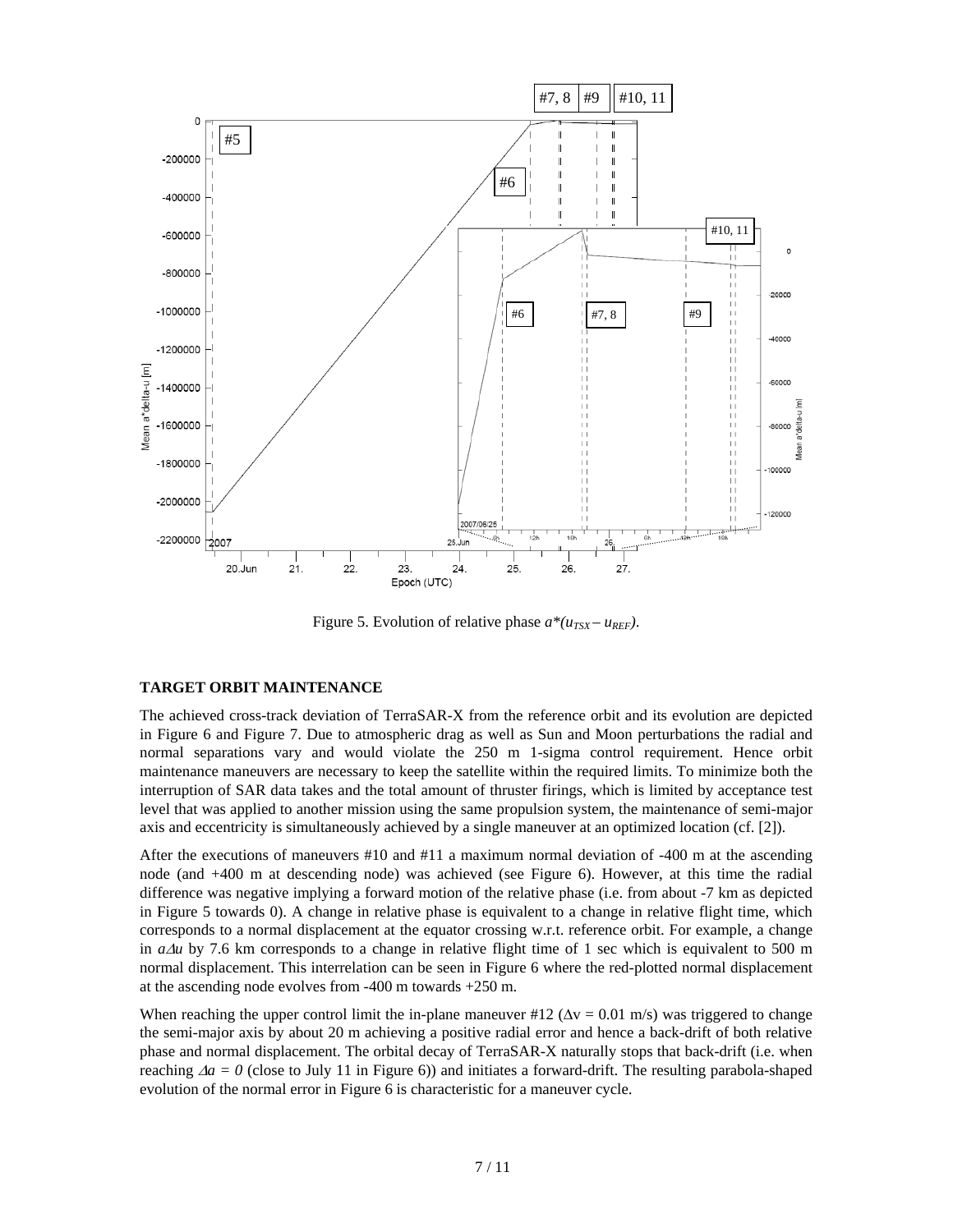

Figure 5. Evolution of relative phase  $a^*(u_{TSX} - u_{REF})$ .

## **TARGET ORBIT MAINTENANCE**

The achieved cross-track deviation of TerraSAR-X from the reference orbit and its evolution are depicted in Figure 6 and Figure 7. Due to atmospheric drag as well as Sun and Moon perturbations the radial and normal separations vary and would violate the 250 m 1-sigma control requirement. Hence orbit maintenance maneuvers are necessary to keep the satellite within the required limits. To minimize both the interruption of SAR data takes and the total amount of thruster firings, which is limited by acceptance test level that was applied to another mission using the same propulsion system, the maintenance of semi-major axis and eccentricity is simultaneously achieved by a single maneuver at an optimized location (cf. [2]).

After the executions of maneuvers #10 and #11 a maximum normal deviation of -400 m at the ascending node (and +400 m at descending node) was achieved (see Figure 6). However, at this time the radial difference was negative implying a forward motion of the relative phase (i.e. from about -7 km as depicted in Figure 5 towards 0). A change in relative phase is equivalent to a change in relative flight time, which corresponds to a normal displacement at the equator crossing w.r.t. reference orbit. For example, a change in  $a\Delta u$  by 7.6 km corresponds to a change in relative flight time of 1 sec which is equivalent to 500 m normal displacement. This interrelation can be seen in Figure 6 where the red-plotted normal displacement at the ascending node evolves from -400 m towards +250 m.

When reaching the upper control limit the in-plane maneuver  $\#12$  ( $\Delta v = 0.01$  m/s) was triggered to change the semi-major axis by about 20 m achieving a positive radial error and hence a back-drift of both relative phase and normal displacement. The orbital decay of TerraSAR-X naturally stops that back-drift (i.e. when reaching Δ*a = 0* (close to July 11 in Figure 6)) and initiates a forward-drift. The resulting parabola-shaped evolution of the normal error in Figure 6 is characteristic for a maneuver cycle.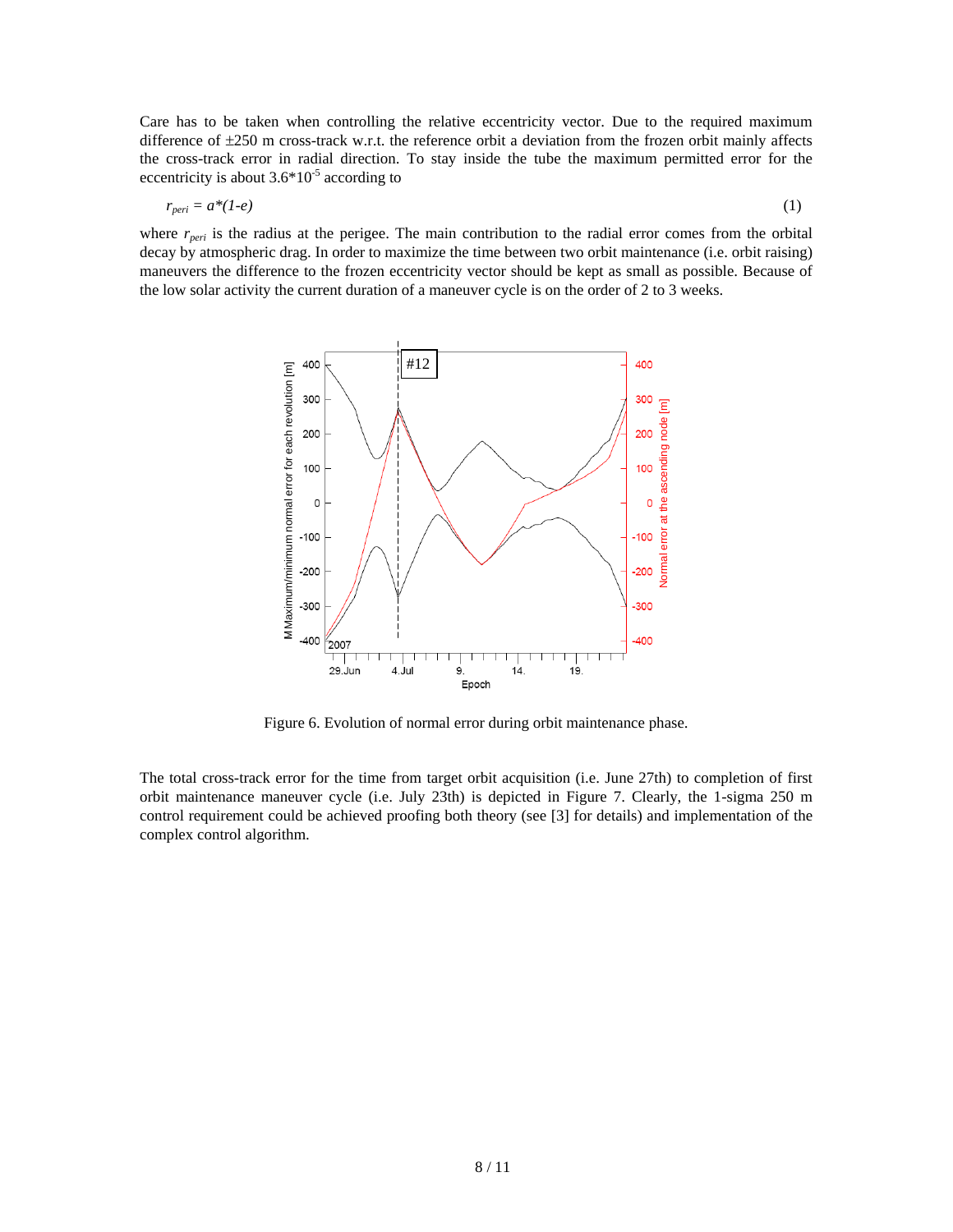Care has to be taken when controlling the relative eccentricity vector. Due to the required maximum difference of  $\pm 250$  m cross-track w.r.t. the reference orbit a deviation from the frozen orbit mainly affects the cross-track error in radial direction. To stay inside the tube the maximum permitted error for the eccentricity is about  $3.6*10^{-5}$  according to

$$
r_{peri} = a^*(1-e) \tag{1}
$$

where  $r_{peri}$  is the radius at the perigee. The main contribution to the radial error comes from the orbital decay by atmospheric drag. In order to maximize the time between two orbit maintenance (i.e. orbit raising) maneuvers the difference to the frozen eccentricity vector should be kept as small as possible. Because of the low solar activity the current duration of a maneuver cycle is on the order of 2 to 3 weeks.



Figure 6. Evolution of normal error during orbit maintenance phase.

The total cross-track error for the time from target orbit acquisition (i.e. June 27th) to completion of first orbit maintenance maneuver cycle (i.e. July 23th) is depicted in Figure 7. Clearly, the 1-sigma 250 m control requirement could be achieved proofing both theory (see [3] for details) and implementation of the complex control algorithm.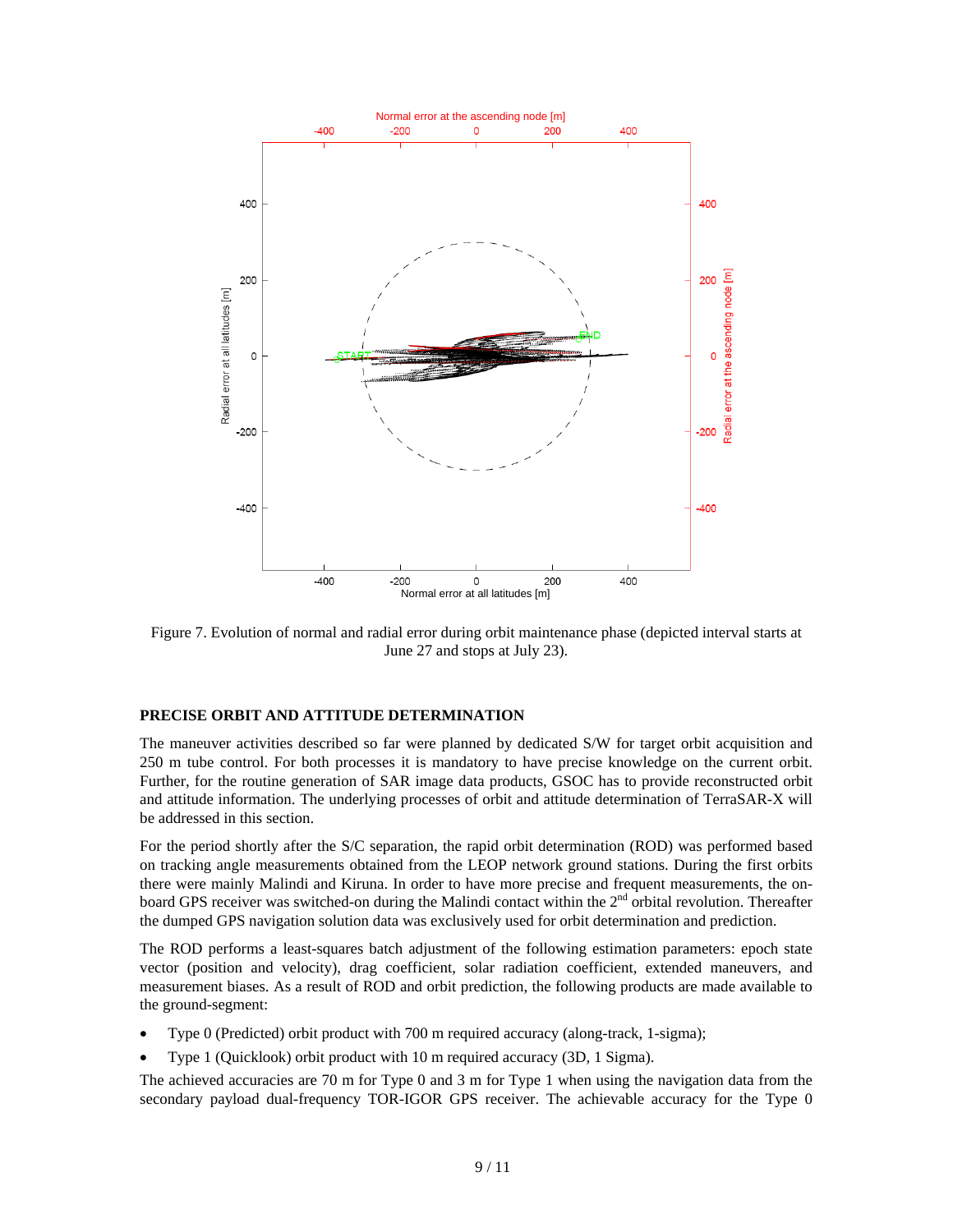

Figure 7. Evolution of normal and radial error during orbit maintenance phase (depicted interval starts at June 27 and stops at July 23).

#### **PRECISE ORBIT AND ATTITUDE DETERMINATION**

The maneuver activities described so far were planned by dedicated S/W for target orbit acquisition and 250 m tube control. For both processes it is mandatory to have precise knowledge on the current orbit. Further, for the routine generation of SAR image data products, GSOC has to provide reconstructed orbit and attitude information. The underlying processes of orbit and attitude determination of TerraSAR-X will be addressed in this section.

For the period shortly after the S/C separation, the rapid orbit determination (ROD) was performed based on tracking angle measurements obtained from the LEOP network ground stations. During the first orbits there were mainly Malindi and Kiruna. In order to have more precise and frequent measurements, the onboard GPS receiver was switched-on during the Malindi contact within the  $2<sup>nd</sup>$  orbital revolution. Thereafter the dumped GPS navigation solution data was exclusively used for orbit determination and prediction.

The ROD performs a least-squares batch adjustment of the following estimation parameters: epoch state vector (position and velocity), drag coefficient, solar radiation coefficient, extended maneuvers, and measurement biases. As a result of ROD and orbit prediction, the following products are made available to the ground-segment:

- Type 0 (Predicted) orbit product with 700 m required accuracy (along-track, 1-sigma);
- Type 1 (Quicklook) orbit product with 10 m required accuracy (3D, 1 Sigma).

The achieved accuracies are 70 m for Type 0 and 3 m for Type 1 when using the navigation data from the secondary payload dual-frequency TOR-IGOR GPS receiver. The achievable accuracy for the Type 0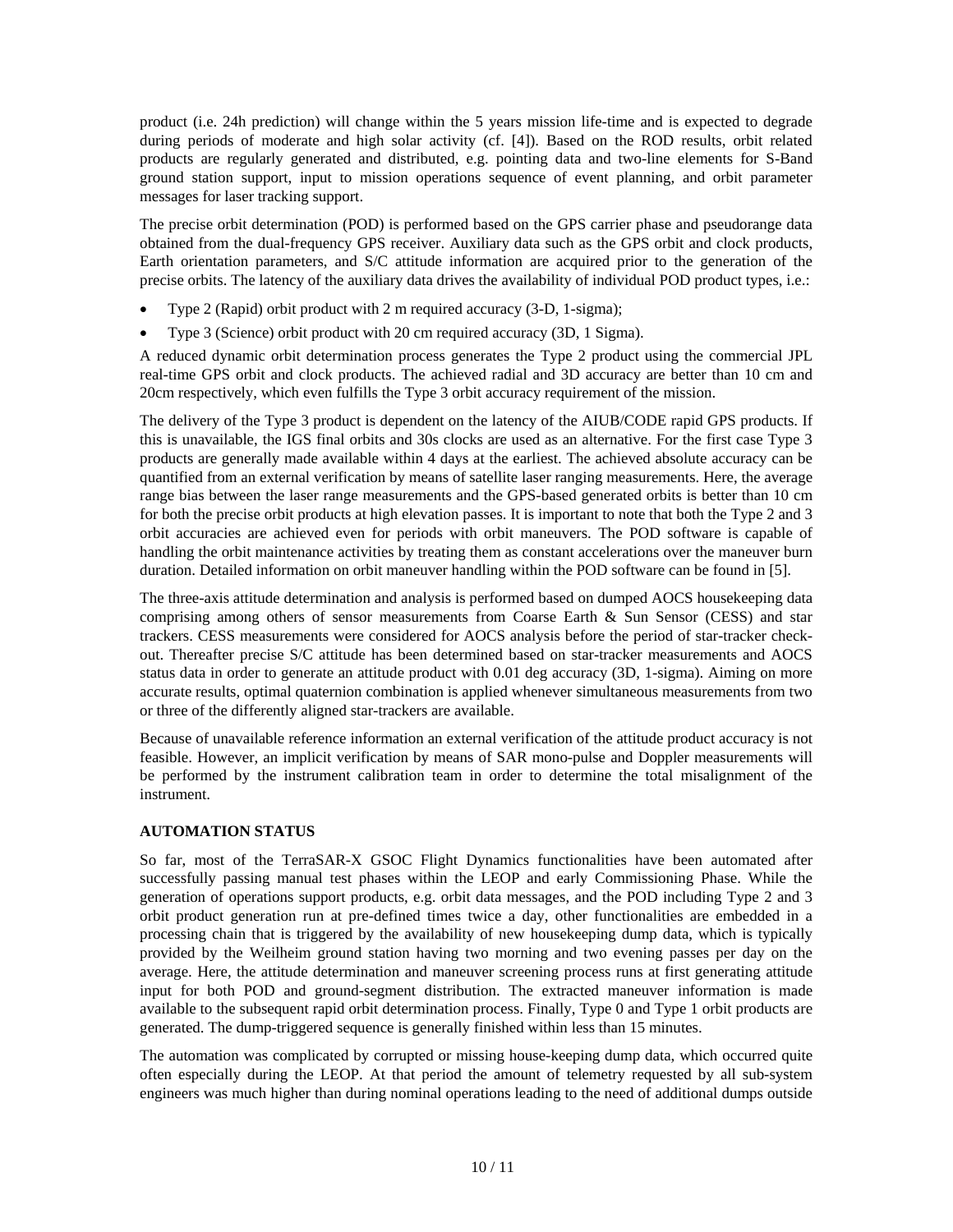product (i.e. 24h prediction) will change within the 5 years mission life-time and is expected to degrade during periods of moderate and high solar activity (cf. [4]). Based on the ROD results, orbit related products are regularly generated and distributed, e.g. pointing data and two-line elements for S-Band ground station support, input to mission operations sequence of event planning, and orbit parameter messages for laser tracking support.

The precise orbit determination (POD) is performed based on the GPS carrier phase and pseudorange data obtained from the dual-frequency GPS receiver. Auxiliary data such as the GPS orbit and clock products, Earth orientation parameters, and S/C attitude information are acquired prior to the generation of the precise orbits. The latency of the auxiliary data drives the availability of individual POD product types, i.e.:

- Type 2 (Rapid) orbit product with 2 m required accuracy (3-D, 1-sigma);
- Type 3 (Science) orbit product with 20 cm required accuracy (3D, 1 Sigma).

A reduced dynamic orbit determination process generates the Type 2 product using the commercial JPL real-time GPS orbit and clock products. The achieved radial and 3D accuracy are better than 10 cm and 20cm respectively, which even fulfills the Type 3 orbit accuracy requirement of the mission.

The delivery of the Type 3 product is dependent on the latency of the AIUB/CODE rapid GPS products. If this is unavailable, the IGS final orbits and 30s clocks are used as an alternative. For the first case Type 3 products are generally made available within 4 days at the earliest. The achieved absolute accuracy can be quantified from an external verification by means of satellite laser ranging measurements. Here, the average range bias between the laser range measurements and the GPS-based generated orbits is better than 10 cm for both the precise orbit products at high elevation passes. It is important to note that both the Type 2 and 3 orbit accuracies are achieved even for periods with orbit maneuvers. The POD software is capable of handling the orbit maintenance activities by treating them as constant accelerations over the maneuver burn duration. Detailed information on orbit maneuver handling within the POD software can be found in [5].

The three-axis attitude determination and analysis is performed based on dumped AOCS housekeeping data comprising among others of sensor measurements from Coarse Earth & Sun Sensor (CESS) and star trackers. CESS measurements were considered for AOCS analysis before the period of star-tracker checkout. Thereafter precise S/C attitude has been determined based on star-tracker measurements and AOCS status data in order to generate an attitude product with 0.01 deg accuracy (3D, 1-sigma). Aiming on more accurate results, optimal quaternion combination is applied whenever simultaneous measurements from two or three of the differently aligned star-trackers are available.

Because of unavailable reference information an external verification of the attitude product accuracy is not feasible. However, an implicit verification by means of SAR mono-pulse and Doppler measurements will be performed by the instrument calibration team in order to determine the total misalignment of the instrument.

## **AUTOMATION STATUS**

So far, most of the TerraSAR-X GSOC Flight Dynamics functionalities have been automated after successfully passing manual test phases within the LEOP and early Commissioning Phase. While the generation of operations support products, e.g. orbit data messages, and the POD including Type 2 and 3 orbit product generation run at pre-defined times twice a day, other functionalities are embedded in a processing chain that is triggered by the availability of new housekeeping dump data, which is typically provided by the Weilheim ground station having two morning and two evening passes per day on the average. Here, the attitude determination and maneuver screening process runs at first generating attitude input for both POD and ground-segment distribution. The extracted maneuver information is made available to the subsequent rapid orbit determination process. Finally, Type 0 and Type 1 orbit products are generated. The dump-triggered sequence is generally finished within less than 15 minutes.

The automation was complicated by corrupted or missing house-keeping dump data, which occurred quite often especially during the LEOP. At that period the amount of telemetry requested by all sub-system engineers was much higher than during nominal operations leading to the need of additional dumps outside